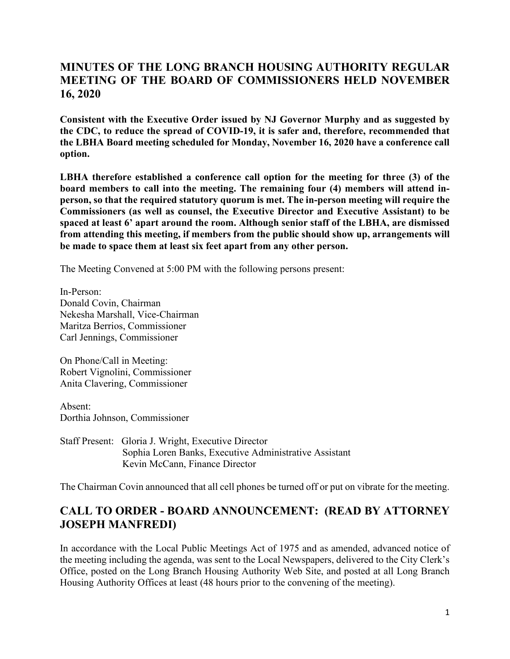#### **MINUTES OF THE LONG BRANCH HOUSING AUTHORITY REGULAR MEETING OF THE BOARD OF COMMISSIONERS HELD NOVEMBER 16, 2020**

**Consistent with the Executive Order issued by NJ Governor Murphy and as suggested by the CDC, to reduce the spread of COVID-19, it is safer and, therefore, recommended that the LBHA Board meeting scheduled for Monday, November 16, 2020 have a conference call option.**

**LBHA therefore established a conference call option for the meeting for three (3) of the board members to call into the meeting. The remaining four (4) members will attend inperson, so that the required statutory quorum is met. The in-person meeting will require the Commissioners (as well as counsel, the Executive Director and Executive Assistant) to be spaced at least 6' apart around the room. Although senior staff of the LBHA, are dismissed from attending this meeting, if members from the public should show up, arrangements will be made to space them at least six feet apart from any other person.**

The Meeting Convened at 5:00 PM with the following persons present:

In-Person: Donald Covin, Chairman Nekesha Marshall, Vice-Chairman Maritza Berrios, Commissioner Carl Jennings, Commissioner

On Phone/Call in Meeting: Robert Vignolini, Commissioner Anita Clavering, Commissioner

Absent: Dorthia Johnson, Commissioner

Staff Present: Gloria J. Wright, Executive Director Sophia Loren Banks, Executive Administrative Assistant Kevin McCann, Finance Director

The Chairman Covin announced that all cell phones be turned off or put on vibrate for the meeting.

#### **CALL TO ORDER - BOARD ANNOUNCEMENT: (READ BY ATTORNEY JOSEPH MANFREDI)**

In accordance with the Local Public Meetings Act of 1975 and as amended, advanced notice of the meeting including the agenda, was sent to the Local Newspapers, delivered to the City Clerk's Office, posted on the Long Branch Housing Authority Web Site, and posted at all Long Branch Housing Authority Offices at least (48 hours prior to the convening of the meeting).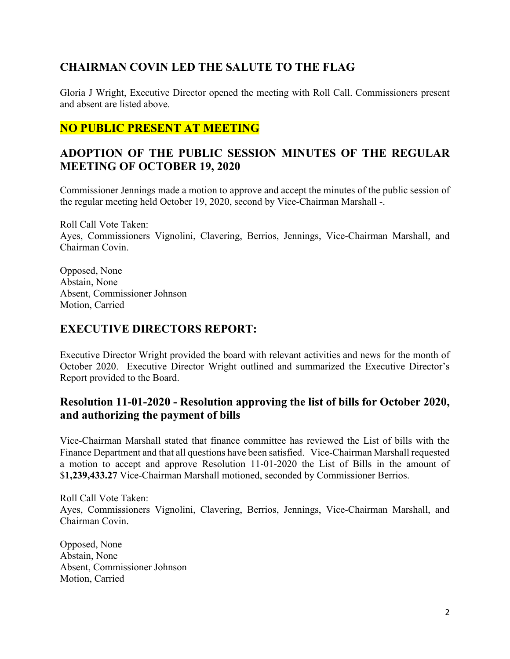## **CHAIRMAN COVIN LED THE SALUTE TO THE FLAG**

Gloria J Wright, Executive Director opened the meeting with Roll Call. Commissioners present and absent are listed above.

## **NO PUBLIC PRESENT AT MEETING**

## **ADOPTION OF THE PUBLIC SESSION MINUTES OF THE REGULAR MEETING OF OCTOBER 19, 2020**

Commissioner Jennings made a motion to approve and accept the minutes of the public session of the regular meeting held October 19, 2020, second by Vice-Chairman Marshall -.

Roll Call Vote Taken: Ayes, Commissioners Vignolini, Clavering, Berrios, Jennings, Vice-Chairman Marshall, and Chairman Covin.

Opposed, None Abstain, None Absent, Commissioner Johnson Motion, Carried

#### **EXECUTIVE DIRECTORS REPORT:**

Executive Director Wright provided the board with relevant activities and news for the month of October 2020. Executive Director Wright outlined and summarized the Executive Director's Report provided to the Board.

#### **Resolution 11-01-2020 - Resolution approving the list of bills for October 2020, and authorizing the payment of bills**

Vice-Chairman Marshall stated that finance committee has reviewed the List of bills with the Finance Department and that all questions have been satisfied. Vice-Chairman Marshall requested a motion to accept and approve Resolution 11-01-2020 the List of Bills in the amount of \$**1,239,433.27** Vice-Chairman Marshall motioned, seconded by Commissioner Berrios.

Roll Call Vote Taken: Ayes, Commissioners Vignolini, Clavering, Berrios, Jennings, Vice-Chairman Marshall, and Chairman Covin.

Opposed, None Abstain, None Absent, Commissioner Johnson Motion, Carried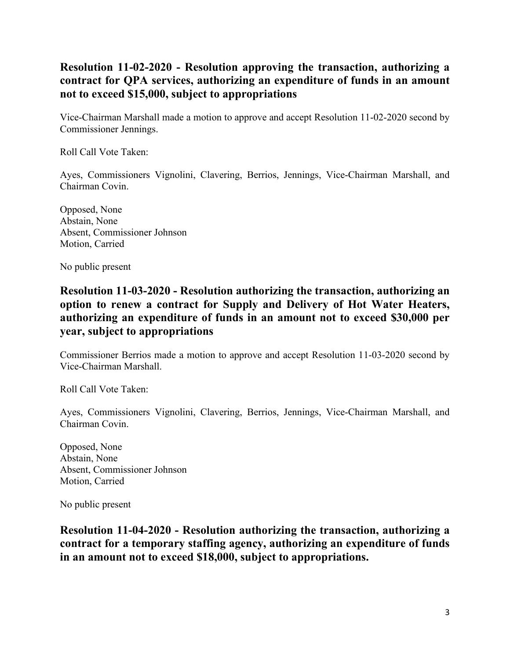### **Resolution 11-02-2020 - Resolution approving the transaction, authorizing a contract for QPA services, authorizing an expenditure of funds in an amount not to exceed \$15,000, subject to appropriations**

Vice-Chairman Marshall made a motion to approve and accept Resolution 11-02-2020 second by Commissioner Jennings.

Roll Call Vote Taken:

Ayes, Commissioners Vignolini, Clavering, Berrios, Jennings, Vice-Chairman Marshall, and Chairman Covin.

Opposed, None Abstain, None Absent, Commissioner Johnson Motion, Carried

No public present

#### **Resolution 11-03-2020 - Resolution authorizing the transaction, authorizing an option to renew a contract for Supply and Delivery of Hot Water Heaters, authorizing an expenditure of funds in an amount not to exceed \$30,000 per year, subject to appropriations**

Commissioner Berrios made a motion to approve and accept Resolution 11-03-2020 second by Vice-Chairman Marshall.

Roll Call Vote Taken:

Ayes, Commissioners Vignolini, Clavering, Berrios, Jennings, Vice-Chairman Marshall, and Chairman Covin.

Opposed, None Abstain, None Absent, Commissioner Johnson Motion, Carried

No public present

**Resolution 11-04-2020 - Resolution authorizing the transaction, authorizing a contract for a temporary staffing agency, authorizing an expenditure of funds in an amount not to exceed \$18,000, subject to appropriations.**